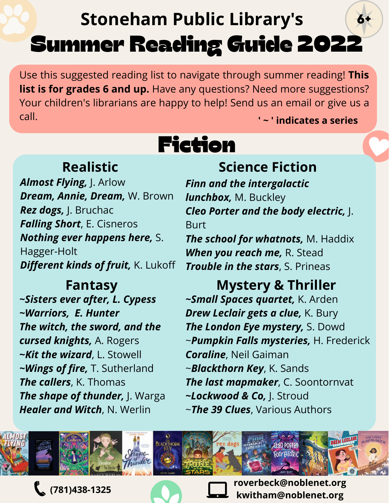## Summer Reading Guide 2022 6+ **Stoneham Public Library's**

Use this suggested reading list to navigate through summer reading! **This list is for grades 6 and up.** Have any questions? Need more suggestions? Your children's librarians are happy to help! Send us an email or give us a call. **' ~ ' indicates a series**

# Fiction

### **Realistic**

*Almost Flying,* J. Arlow *Dream, Annie, Dream,* W. Brown *Rez dogs,* J. Bruchac *Falling Short*, E. Cisneros *Nothing ever happens here,* S. Hagger-Holt *Different kinds of fruit,* K. Lukoff

#### **Fantasy**

*~Sisters ever after, L. Cypess ~Warriors, E. Hunter The witch, the sword, and the cursed knights,* A. Rogers **~***Kit the wizard*, L. Stowell *~Wings of fire,* T. Sutherland *The callers*, K. Thomas *The shape of thunder,* J. Warga *Healer and Witch*, N. Werlin

# **Science Fiction**

*Finn and the intergalactic lunchbox,* M. Buckley *Cleo Porter and the body electric,* J. **Burt** 

*The school for whatnots,* M. Haddix *When you reach me,* R. Stead *Trouble in the stars*, S. Prineas

### **Mystery & Thriller**

*~Small Spaces quartet,* K. Arden *Drew Leclair gets a clue,* K. Bury *The London Eye mystery,* S. Dowd ~*Pumpkin Falls mysteries,* H. Frederick *Coraline*, Neil Gaiman ~*Blackthorn Key*, K. Sands *The last mapmaker*, C. Soontornvat *~Lockwood & Co,* J. Stroud ~*The 39 Clues*, Various Authors





**roverbeck@noblenet.org kwitham@noblenet.org**